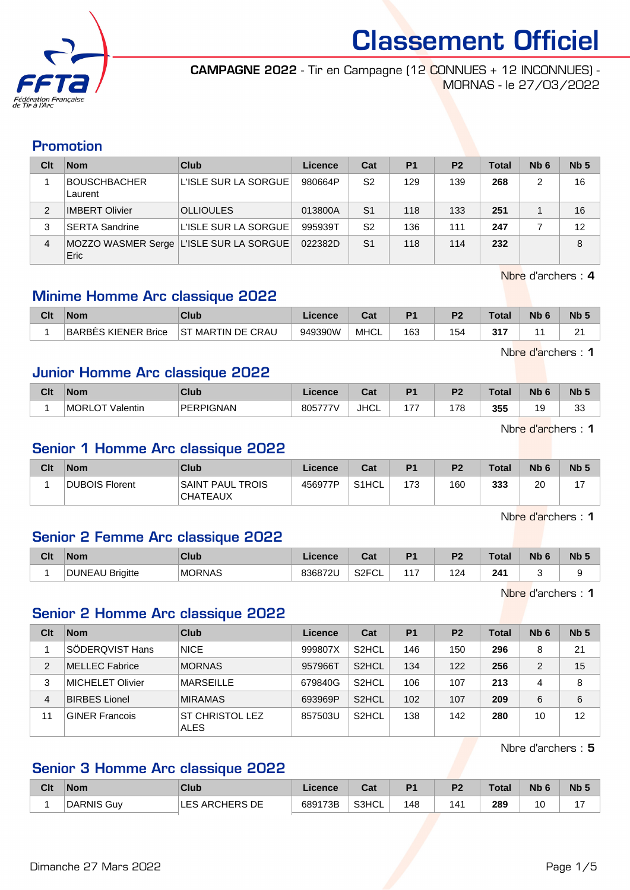

CAMPAGNE 2022 - Tir en Campagne (12 CONNUES + 12 INCONNUES) - MORNAS - le 27/03/2022

#### Promotion

| Clt | <b>Nom</b>                     | Club                                      | Licence | Cat            | P <sub>1</sub> | P <sub>2</sub> | <b>Total</b> | N <sub>b</sub> 6 | Nb <sub>5</sub> |
|-----|--------------------------------|-------------------------------------------|---------|----------------|----------------|----------------|--------------|------------------|-----------------|
|     | <b>BOUSCHBACHER</b><br>Laurent | L'ISLE SUR LA SORGUE                      | 980664P | S2             | 129            | 139            | 268          | 2                | 16              |
| 2   | <b>IMBERT Olivier</b>          | <b>OLLIOULES</b>                          | 013800A | S <sub>1</sub> | 118            | 133            | 251          |                  | 16              |
| 3   | <b>SERTA Sandrine</b>          | L'ISLE SUR LA SORGUE                      | 995939T | S2             | 136            | 111            | 247          |                  | 12              |
| 4   | Eric                           | MOZZO WASMER Serge   L'ISLE SUR LA SORGUE | 022382D | S <sub>1</sub> | 118            | 114            | 232          |                  | 8               |

Nbre d'archers : 4

Nbre d'archers : 1

## Minime Homme Arc classique 2022

| Clt | Nom                 | Club                  | Licence | יים<br>ua   | P <sub>1</sub> | פם  | Total | Nb | <b>N<sub>b</sub></b> |
|-----|---------------------|-----------------------|---------|-------------|----------------|-----|-------|----|----------------------|
|     | BARBES KIENER Brice | MARTIN DE CRAU<br>.ST | 949390W | <b>MHCL</b> | 163            | 154 | 247   |    | ŋ,<br>$\epsilon$     |

Junior Homme Arc classique 2022

| Clt | <b>Nom</b>                          | Club             | .icence                      | ו ה<br>uai  | P <sub>1</sub> | D <sub>2</sub> | Total | <b>N<sub>b</sub></b> | Nb <sub>5</sub> |
|-----|-------------------------------------|------------------|------------------------------|-------------|----------------|----------------|-------|----------------------|-----------------|
|     | <b>MORLC</b><br><b>_OT Valentin</b> | <b>PERPIGNAN</b> | 805777V<br>. $\prime$ $\vee$ | <b>JHCL</b> | .              | 178            | 355   | 19                   | $\sim$<br>ັບ    |

Nbre d'archers : 1

## Senior 1 Homme Arc classique 2022

| Clt | Nom                   | Club                                | Licence | Cat                | D <sub>1</sub> | P <sub>2</sub> | <b>Total</b> | N <sub>b</sub> 6 | <b>N<sub>b</sub></b> |
|-----|-----------------------|-------------------------------------|---------|--------------------|----------------|----------------|--------------|------------------|----------------------|
|     | <b>DUBOIS Florent</b> | SAINT PAUL TROIS<br><b>CHATEAUX</b> | 456977P | S <sub>1</sub> HCL | 173            | 160            | 333          | 20               |                      |

Nbre d'archers : 1

#### Senior 2 Femme Arc classique 2022

| Clt | <b>Nom</b>                | <b>Club</b>   | icence  | $R_{\rm{at}}$<br>ual.   |    | D0           | <b>Total</b> | <b>N<sub>k</sub></b><br>6 | Nb <sub>5</sub> |
|-----|---------------------------|---------------|---------|-------------------------|----|--------------|--------------|---------------------------|-----------------|
|     | <b>DUNEAU</b><br>Brigitte | <b>MORNAS</b> | 836872U | S <sub>2</sub> FC<br>◡∟ | 47 | ^<br>৴∠<br>c | 241          |                           |                 |

Nbre d'archers : 1

## Senior 2 Homme Arc classique 2022

| Clt | <b>Nom</b>            | Club                                  | Licence | Cat                | <b>P1</b> | P <sub>2</sub> | Total | Nb <sub>6</sub> | Nb <sub>5</sub> |
|-----|-----------------------|---------------------------------------|---------|--------------------|-----------|----------------|-------|-----------------|-----------------|
|     | SÖDERQVIST Hans       | <b>NICE</b>                           | 999807X | S <sub>2</sub> HCL | 146       | 150            | 296   | 8               | 21              |
| 2   | MELLEC Fabrice        | <b>MORNAS</b>                         | 957966T | S <sub>2</sub> HCL | 134       | 122            | 256   | 2               | 15              |
| 3   | MICHELET Olivier      | <b>MARSEILLE</b>                      | 679840G | S <sub>2</sub> HCL | 106       | 107            | 213   | 4               | 8               |
| 4   | <b>BIRBES Lionel</b>  | <b>MIRAMAS</b>                        | 693969P | S <sub>2</sub> HCL | 102       | 107            | 209   | 6               | 6               |
| 11  | <b>GINER Francois</b> | <b>ST CHRISTOL LEZ</b><br><b>ALES</b> | 857503U | S <sub>2</sub> HCL | 138       | 142            | 280   | 10              | 12              |

Nbre d'archers : 5

## Senior 3 Homme Arc classique 2022

| Clt | <b>Nom</b>        | <b>Club</b>    | Licence | $\sim$<br>⊍⊌ | D <sub>1</sub> | P <sub>2</sub> | Total     | N <sub>b</sub> 6 | Nb <sub>5</sub> |
|-----|-------------------|----------------|---------|--------------|----------------|----------------|-----------|------------------|-----------------|
|     | <b>DARNIS Guv</b> | LES ARCHERS DE | 689173B | S3HCL        | 148            | 141            | 289<br>__ | 10<br>שו         | . –             |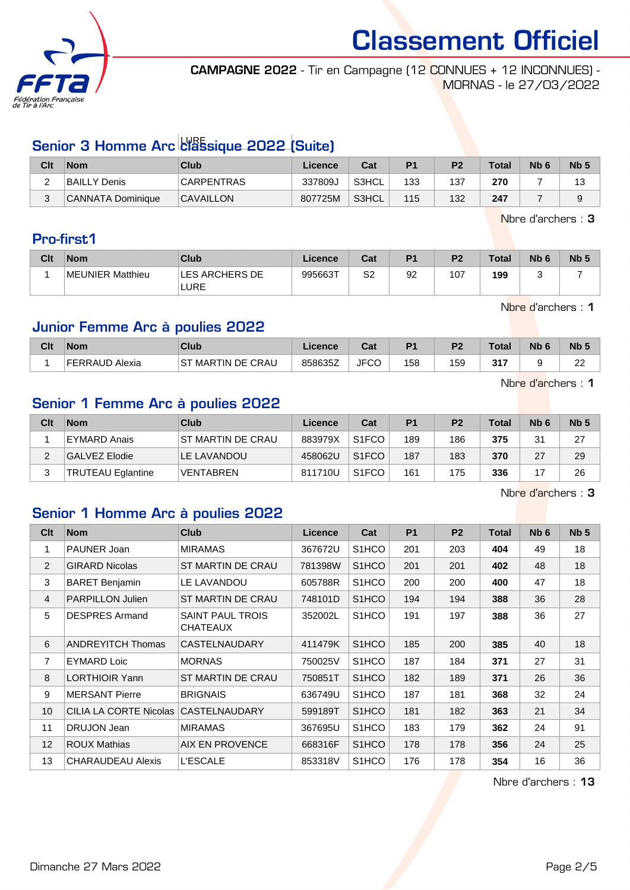

CAMPAGNE 2022 - Tir en Campagne (12 CONNUES + 12 INCONNUES) - MORNAS - le 27/03/2022

# Senior 3 Homme Arc *classique 2022 (Suite)*

| Clt | <b>Nom</b>        | Club              | Licence | Cat   | P <sub>1</sub> | P <sub>2</sub> | <b>Total</b> | N <sub>b</sub> 6 | Nb <sub>5</sub> |
|-----|-------------------|-------------------|---------|-------|----------------|----------------|--------------|------------------|-----------------|
| -   | BAILLY Denis      | <b>CARPENTRAS</b> | 337809J | S3HCL | 133            | 137            | 270          |                  | ت ا             |
| ບ   | CANNATA Dominique | <b>CAVAILLON</b>  | 807725M | S3HCL | 115            | 132            | 247          |                  |                 |

Nbre d'archers : 3

## Pro-first1

| Clt | <b>Nom</b>       | <b>Club</b>            | <b>Licence</b> | Cat | P <sub>1</sub> | P <sub>2</sub> | <b>Total</b> | N <sub>b</sub> <sub>6</sub> | Nb <sub>5</sub> |
|-----|------------------|------------------------|----------------|-----|----------------|----------------|--------------|-----------------------------|-----------------|
|     | MEUNIER Matthieu | LES ARCHERS DE<br>LURE | 995663T        | S2  | 92             | 107            | 199          |                             |                 |

Nbre d'archers : 1

## Junior Femme Arc à poulies 2022

| Clt | <b>Nom</b>     | <b>Club</b>          | Licence | ו ה<br>⊍a   | P <sub>1</sub> | D <sub>2</sub> | <b>Total</b> | Nb | <b>N<sub>b</sub></b> |
|-----|----------------|----------------------|---------|-------------|----------------|----------------|--------------|----|----------------------|
|     | FERRAUD Alexia | SТ<br>MARTIN DE CRAU | 858635Z | <b>JFCC</b> | 158            | 159            | 247          |    | $\sim$<br>           |

Nbre d'archers : 1

## Senior 1 Femme Arc à poulies 2022

| Clt | <b>Nom</b>               | Club                     | Licence | Cat                | P <sub>1</sub> | P <sub>2</sub> | <b>Total</b> | N <sub>b</sub> 6 | Nb <sub>5</sub> |
|-----|--------------------------|--------------------------|---------|--------------------|----------------|----------------|--------------|------------------|-----------------|
|     | EYMARD Anais             | <b>ST MARTIN DE CRAU</b> | 883979X | S <sub>1</sub> FCO | 189            | 186            | 375          | 31               | 27              |
|     | GALVEZ Elodie            | LE LAVANDOU              | 458062U | S <sub>1</sub> FCO | 187            | 183            | 370          | 27               | 29              |
|     | <b>TRUTEAU Eglantine</b> | <b>VENTABREN</b>         | 811710U | S <sub>1</sub> FCO | 161            | 175            | 336          |                  | 26              |

Nbre d'archers : 3

#### Senior 1 Homme Arc à poulies 2022

| Clt            | <b>Nom</b>               | Club                                       | Licence | Cat                | P <sub>1</sub> | P <sub>2</sub> | Total | N <sub>b</sub> 6 | Nb <sub>5</sub> |
|----------------|--------------------------|--------------------------------------------|---------|--------------------|----------------|----------------|-------|------------------|-----------------|
| 1              | PAUNER Joan              | <b>MIRAMAS</b>                             | 367672U | S <sub>1</sub> HCO | 201            | 203            | 404   | 49               | 18              |
| 2              | <b>GIRARD Nicolas</b>    | ST MARTIN DE CRAU                          | 781398W | S <sub>1</sub> HCO | 201            | 201            | 402   | 48               | 18              |
| 3              | <b>BARET Benjamin</b>    | LE LAVANDOU                                | 605788R | S <sub>1</sub> HCO | 200            | 200            | 400   | 47               | 18              |
| $\overline{4}$ | <b>PARPILLON Julien</b>  | ST MARTIN DE CRAU                          | 748101D | S <sub>1</sub> HCO | 194            | 194            | 388   | 36               | 28              |
| 5              | <b>DESPRES Armand</b>    | <b>SAINT PAUL TROIS</b><br><b>CHATEAUX</b> | 352002L | S <sub>1</sub> HCO | 191            | 197            | 388   | 36               | 27              |
| 6              | <b>ANDREYITCH Thomas</b> | <b>CASTELNAUDARY</b>                       | 411479K | S <sub>1</sub> HCO | 185            | 200            | 385   | 40               | 18              |
| 7              | <b>EYMARD Loic</b>       | <b>MORNAS</b>                              | 750025V | S <sub>1</sub> HCO | 187            | 184            | 371   | 27               | 31              |
| 8              | <b>LORTHIOIR Yann</b>    | ST MARTIN DE CRAU                          | 750851T | S <sub>1</sub> HCO | 182            | 189            | 371   | 26               | 36              |
| 9              | <b>MERSANT Pierre</b>    | <b>BRIGNAIS</b>                            | 636749U | S <sub>1</sub> HCO | 187            | 181            | 368   | 32               | 24              |
| 10             | CILIA LA CORTE Nicolas   | CASTELNAUDARY                              | 599189T | S <sub>1</sub> HCO | 181            | 182            | 363   | 21               | 34              |
| 11             | DRUJON Jean              | <b>MIRAMAS</b>                             | 367695U | S <sub>1</sub> HCO | 183            | 179            | 362   | 24               | 91              |
| 12             | <b>ROUX Mathias</b>      | <b>AIX EN PROVENCE</b>                     | 668316F | S <sub>1</sub> HCO | 178            | 178            | 356   | 24               | 25              |
| 13             | <b>CHARAUDEAU Alexis</b> | <b>L'ESCALE</b>                            | 853318V | S <sub>1</sub> HCO | 176            | 178            | 354   | 16               | 36              |

Nbre d'archers : 13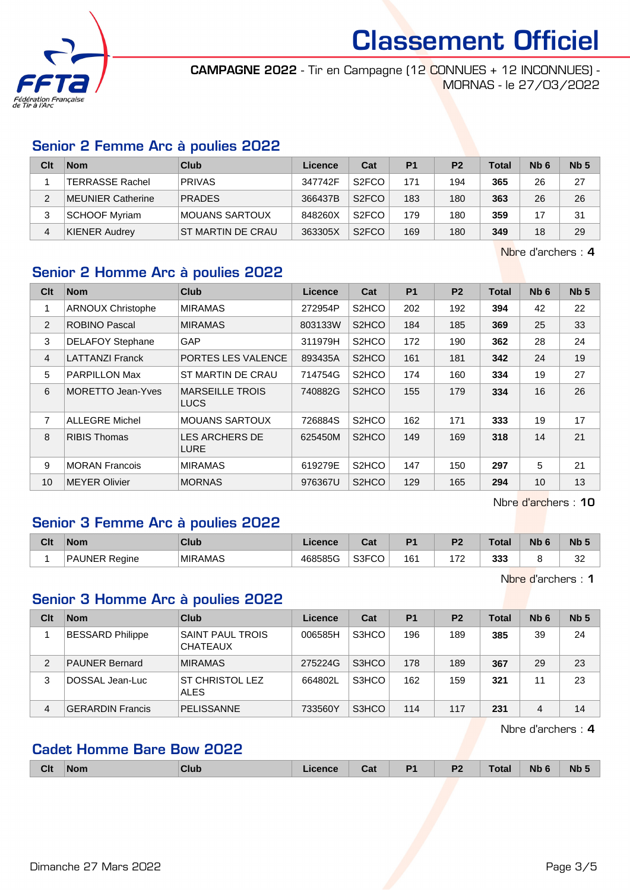

CAMPAGNE 2022 - Tir en Campagne (12 CONNUES + 12 INCONNUES) - MORNAS - le 27/03/2022

#### Senior 2 Femme Arc à poulies 2022

| Clt | <b>Nom</b>               | Club              | Licence | Cat                | P <sub>1</sub> | P <sub>2</sub> | <b>Total</b> | N <sub>b</sub> 6 | Nb <sub>5</sub> |
|-----|--------------------------|-------------------|---------|--------------------|----------------|----------------|--------------|------------------|-----------------|
|     | <b>TERRASSE Rachel</b>   | <b>PRIVAS</b>     | 347742F | S <sub>2</sub> FCO | 171            | 194            | 365          | 26               | 27              |
|     | <b>MEUNIER Catherine</b> | <b>PRADES</b>     | 366437B | S <sub>2</sub> FCO | 183            | 180            | 363          | 26               | 26              |
|     | <b>SCHOOF Myriam</b>     | MOUANS SARTOUX    | 848260X | S <sub>2</sub> FCO | 179            | 180            | 359          |                  | 31              |
| 4   | KIENER Audrey            | ST MARTIN DE CRAU | 363305X | S <sub>2</sub> FCO | 169            | 180            | 349          | 18               | 29              |

Nbre d'archers : 4

## Senior 2 Homme Arc à poulies 2022

| Clt            | <b>Nom</b>               | <b>Club</b>                           | <b>Licence</b> | Cat                            | <b>P1</b> | P <sub>2</sub> | <b>Total</b> | N <sub>b</sub> 6 | Nb <sub>5</sub> |
|----------------|--------------------------|---------------------------------------|----------------|--------------------------------|-----------|----------------|--------------|------------------|-----------------|
|                | <b>ARNOUX Christophe</b> | <b>MIRAMAS</b>                        | 272954P        | S <sub>2</sub> HCO             | 202       | 192            | 394          | 42               | 22              |
| 2              | <b>ROBINO Pascal</b>     | <b>MIRAMAS</b>                        | 803133W        | S <sub>2</sub> HCO             | 184       | 185            | 369          | 25               | 33              |
| 3              | <b>DELAFOY Stephane</b>  | GAP                                   | 311979H        | S <sub>2</sub> HCO             | 172       | 190            | 362          | 28               | 24              |
| $\overline{4}$ | <b>LATTANZI Franck</b>   | PORTES LES VALENCE                    | 893435A        | S <sub>2</sub> HCO             | 161       | 181            | 342          | 24               | 19              |
| 5              | <b>PARPILLON Max</b>     | ST MARTIN DE CRAU                     | 714754G        | S <sub>2</sub> HCO             | 174       | 160            | 334          | 19               | 27              |
| 6              | <b>MORETTO Jean-Yves</b> | <b>MARSEILLE TROIS</b><br><b>LUCS</b> | 740882G        | S <sub>2</sub> HCO             | 155       | 179            | 334          | 16               | 26              |
| 7              | <b>ALLEGRE Michel</b>    | <b>MOUANS SARTOUX</b>                 | 726884S        | S <sub>2</sub> H <sub>CO</sub> | 162       | 171            | 333          | 19               | 17              |
| 8              | <b>RIBIS Thomas</b>      | LES ARCHERS DE<br><b>LURE</b>         | 625450M        | S <sub>2</sub> HCO             | 149       | 169            | 318          | 14               | 21              |
| 9              | <b>MORAN Francois</b>    | <b>MIRAMAS</b>                        | 619279E        | S <sub>2</sub> HCO             | 147       | 150            | 297          | 5                | 21              |
| 10             | <b>MEYER Olivier</b>     | <b>MORNAS</b>                         | 976367U        | S <sub>2</sub> HCO             | 129       | 165            | 294          | 10               | 13              |

Nbre d'archers : 10

#### Senior 3 Femme Arc à poulies 2022

| Clt | <b>Nom</b>                  | Club           | icence  | ن م<br>va.  | D <sub>4</sub> | D0             | Total | Nb | <b>Nb</b>    |
|-----|-----------------------------|----------------|---------|-------------|----------------|----------------|-------|----|--------------|
|     | ⊺PA∟<br><b>\UNER Reaine</b> | <b>MIRAMAS</b> | 468585G | S3FCO<br>◡◡ | 161<br>$ -$    | 7 <sup>c</sup> | 333   |    | $\sim$<br>ےں |

Nbre d'archers : 1

## Senior 3 Homme Arc à poulies 2022

| Clt | <b>Nom</b>              | Club                                       | Licence | Cat   | <b>P1</b> | P <sub>2</sub> | Total | Nb <sub>6</sub> | Nb <sub>5</sub> |
|-----|-------------------------|--------------------------------------------|---------|-------|-----------|----------------|-------|-----------------|-----------------|
|     | <b>BESSARD Philippe</b> | <b>SAINT PAUL TROIS</b><br><b>CHATEAUX</b> | 006585H | S3HCO | 196       | 189            | 385   | 39              | 24              |
| 2   | <b>PAUNER Bernard</b>   | <b>MIRAMAS</b>                             | 275224G | S3HCO | 178       | 189            | 367   | 29              | 23              |
| 3   | DOSSAL Jean-Luc         | <b>ST CHRISTOL LEZ</b><br><b>ALES</b>      | 664802L | S3HCO | 162       | 159            | 321   | 11              | 23              |
| 4   | <b>GERARDIN Francis</b> | <b>PELISSANNE</b>                          | 733560Y | S3HCO | 114       | 117            | 231   | 4               | 14              |

Nbre d'archers : 4

## Cadet Homme Bare Bow 2022

|  | <b>Clt</b><br>∣Nom | Club | icence | Cat | D <sub>1</sub> | <b>P2</b> | <b>Total</b> | Nb <sub>1</sub> | <b>Nb</b> |
|--|--------------------|------|--------|-----|----------------|-----------|--------------|-----------------|-----------|
|--|--------------------|------|--------|-----|----------------|-----------|--------------|-----------------|-----------|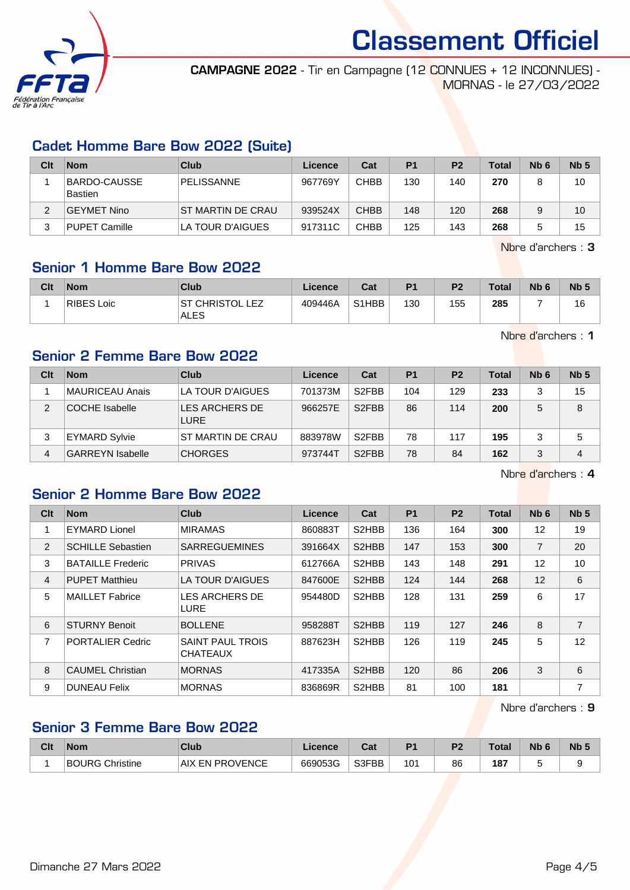

CAMPAGNE 2022 - Tir en Campagne (12 CONNUES + 12 INCONNUES) - MORNAS - le 27/03/2022

## Cadet Homme Bare Bow 2022 (Suite)

| Clt | <b>Nom</b>               | Club              | Licence | Cat         | P <sub>1</sub> | P <sub>2</sub> | <b>Total</b> | N <sub>b</sub> 6 | Nb <sub>5</sub> |
|-----|--------------------------|-------------------|---------|-------------|----------------|----------------|--------------|------------------|-----------------|
|     | BARDO-CAUSSE <br>Bastien | <b>PELISSANNE</b> | 967769Y | CHBB        | 130            | 140            | 270          | 8                | 10              |
|     | GEYMET Nino              | ST MARTIN DE CRAU | 939524X | <b>CHBB</b> | 148            | 120            | 268          | 9                | 10              |
| 3   | <b>PUPET Camille</b>     | LA TOUR D'AIGUES  | 917311C | CHBB        | 125            | 143            | 268          |                  | 15              |

Nbre d'archers : 3

## Senior 1 Homme Bare Bow 2022

| Clt | <b>Nom</b> | Club                                               | <b>Licence</b> | Cat   | P <sub>1</sub> | P <sub>2</sub> | <b>Total</b> | N <sub>b</sub> 6 | N <sub>b</sub> 5 |
|-----|------------|----------------------------------------------------|----------------|-------|----------------|----------------|--------------|------------------|------------------|
|     | RIBES Loic | <sup>-</sup> CHRISTOL<br>. F7<br>ST<br><b>ALES</b> | 409446A        | S1HBB | 130            | 155            | 285          |                  | 16               |

Nbre d'archers : 1

## Senior 2 Femme Bare Bow 2022

| Clt | <b>Nom</b>              | Club                          | Licence | Cat                | P <sub>1</sub> | P <sub>2</sub> | <b>Total</b> | N <sub>b</sub> 6 | Nb <sub>5</sub> |
|-----|-------------------------|-------------------------------|---------|--------------------|----------------|----------------|--------------|------------------|-----------------|
|     | MAURICEAU Anais         | LA TOUR D'AIGUES              | 701373M | S <sub>2</sub> FBB | 104            | 129            | 233          | 3                | 15              |
| 2   | <b>COCHE</b> Isabelle   | LES ARCHERS DE<br><b>LURE</b> | 966257E | S <sub>2</sub> FBB | 86             | 114            | 200          | 5                | 8               |
| 3   | <b>EYMARD Sylvie</b>    | ST MARTIN DE CRAU             | 883978W | S <sub>2</sub> FBB | 78             | 117            | 195          | 3                | 5               |
| 4   | <b>GARREYN Isabelle</b> | <b>CHORGES</b>                | 973744T | S <sub>2</sub> FBB | 78             | 84             | 162          | 3                | 4               |

Nbre d'archers : 4

## Senior 2 Homme Bare Bow 2022

| Clt | <b>Nom</b>               | <b>Club</b>                                | Licence | Cat                | P <sub>1</sub> | P <sub>2</sub> | <b>Total</b> | Nb <sub>6</sub> | Nb <sub>5</sub> |
|-----|--------------------------|--------------------------------------------|---------|--------------------|----------------|----------------|--------------|-----------------|-----------------|
| 1   | <b>EYMARD Lionel</b>     | <b>MIRAMAS</b>                             | 860883T | S2HBB              | 136            | 164            | 300          | 12              | 19              |
| 2   | <b>SCHILLE Sebastien</b> | <b>SARREGUEMINES</b>                       | 391664X | S <sub>2</sub> HBB | 147            | 153            | 300          | $\overline{7}$  | 20              |
| 3   | <b>BATAILLE Frederic</b> | <b>PRIVAS</b>                              | 612766A | S <sub>2</sub> HBB | 143            | 148            | 291          | 12              | 10              |
| 4   | <b>PUPET Matthieu</b>    | LA TOUR D'AIGUES                           | 847600E | S <sub>2</sub> HBB | 124            | 144            | 268          | 12              | 6               |
| 5   | <b>MAILLET Fabrice</b>   | <b>LES ARCHERS DE</b><br>LURE              | 954480D | S2HBB              | 128            | 131            | 259          | 6               | 17              |
| 6   | <b>STURNY Benoit</b>     | <b>BOLLENE</b>                             | 958288T | S <sub>2</sub> HBB | 119            | 127            | 246          | 8               | 7               |
| 7   | <b>PORTALIER Cedric</b>  | <b>SAINT PAUL TROIS</b><br><b>CHATEAUX</b> | 887623H | S <sub>2</sub> HBB | 126            | 119            | 245          | 5               | 12              |
| 8   | <b>CAUMEL Christian</b>  | <b>MORNAS</b>                              | 417335A | S <sub>2</sub> HBB | 120            | 86             | 206          | 3               | 6               |
| 9   | <b>DUNEAU Felix</b>      | <b>MORNAS</b>                              | 836869R | S2HBB              | 81             | 100            | 181          |                 | 7               |

Nbre d'archers : 9

#### Senior 3 Femme Bare Bow 2022

| Clt | <b>Nom</b>                | <b>Club</b>                         | Licence | <b>Take</b><br>ual | D <sub>1</sub> | D <sub>2</sub> | Total         | <b>Nb</b> | <b>N<sub>b</sub></b> |
|-----|---------------------------|-------------------------------------|---------|--------------------|----------------|----------------|---------------|-----------|----------------------|
|     | <b>BOURG</b><br>Christine | <b><i>CEN PROVENCE</i></b><br>. AIX | 669053G | S3FBB              | 10٬            | 86             | 187<br>$\sim$ |           |                      |